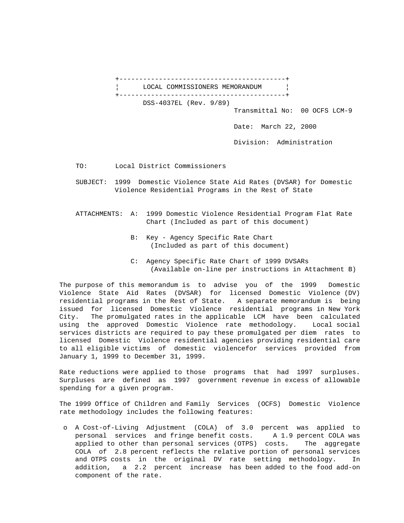

TO: Local District Commissioners

- SUBJECT: 1999 Domestic Violence State Aid Rates (DVSAR) for Domestic Violence Residential Programs in the Rest of State
- ATTACHMENTS: A: 1999 Domestic Violence Residential Program Flat Rate Chart (Included as part of this document)
	- B: Key Agency Specific Rate Chart (Included as part of this document)
	- C: Agency Specific Rate Chart of 1999 DVSARs (Available on-line per instructions in Attachment B)

The purpose of this memorandum is to advise you of the 1999 Domestic Violence State Aid Rates (DVSAR) for licensed Domestic Violence (DV) residential programs in the Rest of State. A separate memorandum is being issued for licensed Domestic Violence residential programs in New York City. The promulgated rates in the applicable LCM have been calculated using the approved Domestic Violence rate methodology. Local social services districts are required to pay these promulgated per diem rates to licensed Domestic Violence residential agencies providing residential care to all eligible victims of domestic violencefor services provided from January 1, 1999 to December 31, 1999.

Rate reductions were applied to those programs that had 1997 surpluses. Surpluses are defined as 1997 government revenue in excess of allowable spending for a given program.

The 1999 Office of Children and Family Services (OCFS) Domestic Violence rate methodology includes the following features:

 o A Cost-of-Living Adjustment (COLA) of 3.0 percent was applied to personal services and fringe benefit costs. A 1.9 percent COLA was applied to other than personal services (OTPS) costs. The aggregate COLA of 2.8 percent reflects the relative portion of personal services and OTPS costs in the original DV rate setting methodology. In addition, a 2.2 percent increase has been added to the food add-on component of the rate.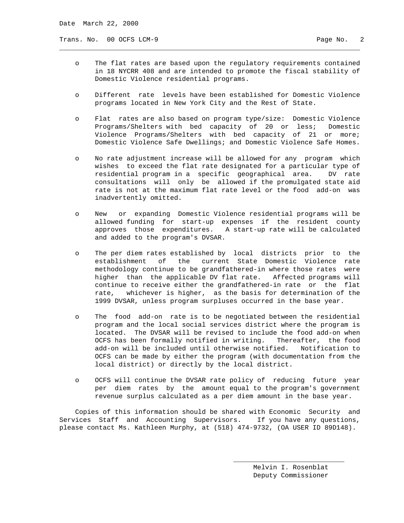Trans. No. 00 OCFS LCM-9 Page No. 2

 o The flat rates are based upon the regulatory requirements contained in 18 NYCRR 408 and are intended to promote the fiscal stability of Domestic Violence residential programs.

\_\_\_\_\_\_\_\_\_\_\_\_\_\_\_\_\_\_\_\_\_\_\_\_\_\_\_\_\_\_\_\_\_\_\_\_\_\_\_\_\_\_\_\_\_\_\_\_\_\_\_\_\_\_\_\_\_\_\_\_\_\_\_\_\_\_\_\_\_\_\_\_\_\_\_\_

- o Different rate levels have been established for Domestic Violence programs located in New York City and the Rest of State.
- o Flat rates are also based on program type/size: Domestic Violence Programs/Shelters with bed capacity of 20 or less; Domestic Violence Programs/Shelters with bed capacity of 21 or more; Domestic Violence Safe Dwellings; and Domestic Violence Safe Homes.
- o No rate adjustment increase will be allowed for any program which wishes to exceed the flat rate designated for a particular type of residential program in a specific geographical area. DV rate consultations will only be allowed if the promulgated state aid rate is not at the maximum flat rate level or the food add-on was inadvertently omitted.
- o New or expanding Domestic Violence residential programs will be allowed funding for start-up expenses if the resident county approves those expenditures. A start-up rate will be calculated and added to the program's DVSAR.
- o The per diem rates established by local districts prior to the establishment of the current State Domestic Violence rate methodology continue to be grandfathered-in where those rates were higher than the applicable DV flat rate. Affected programs will continue to receive either the grandfathered-in rate or the flat rate, whichever is higher, as the basis for determination of the 1999 DVSAR, unless program surpluses occurred in the base year.
- o The food add-on rate is to be negotiated between the residential program and the local social services district where the program is located. The DVSAR will be revised to include the food add-on when OCFS has been formally notified in writing. Thereafter, the food add-on will be included until otherwise notified. Notification to OCFS can be made by either the program (with documentation from the local district) or directly by the local district.
- o OCFS will continue the DVSAR rate policy of reducing future year per diem rates by the amount equal to the program's government revenue surplus calculated as a per diem amount in the base year.

 Copies of this information should be shared with Economic Security and Services Staff and Accounting Supervisors. If you have any questions, please contact Ms. Kathleen Murphy, at (518) 474-9732, (OA USER ID 89D148).

 $\overline{\phantom{a}}$  , and the state of the state of the state of the state of the state of the state of the state of the state of the state of the state of the state of the state of the state of the state of the state of the stat

 Melvin I. Rosenblat Deputy Commissioner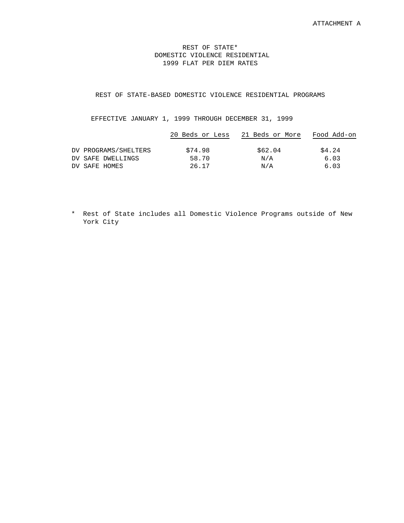## REST OF STATE\* DOMESTIC VIOLENCE RESIDENTIAL 1999 FLAT PER DIEM RATES

## REST OF STATE-BASED DOMESTIC VIOLENCE RESIDENTIAL PROGRAMS

## EFFECTIVE JANUARY 1, 1999 THROUGH DECEMBER 31, 1999

|                      | 20 Beds or Less | 21 Beds or More | Food Add-on |
|----------------------|-----------------|-----------------|-------------|
| DV PROGRAMS/SHELTERS | \$74.98         | \$62.04         | \$4.24      |
| DV SAFE DWELLINGS    | 58.70           | N/A             | 6.03        |
| DV SAFE HOMES        | 26.17           | N/A             | 6.03        |

 \* Rest of State includes all Domestic Violence Programs outside of New York City